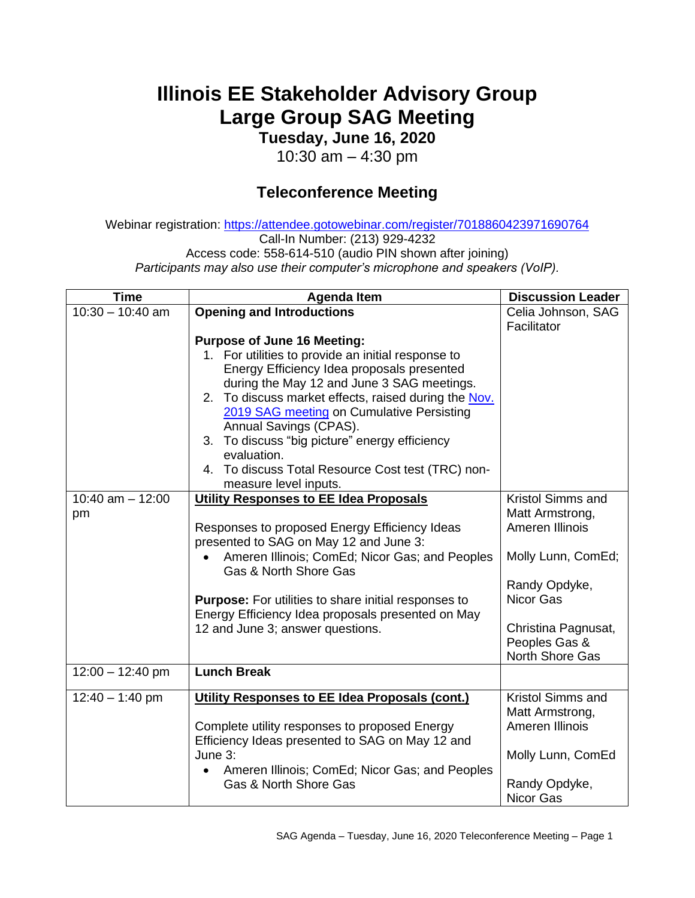## **Illinois EE Stakeholder Advisory Group Large Group SAG Meeting**

**Tuesday, June 16, 2020**

10:30 am – 4:30 pm

## **Teleconference Meeting**

Webinar registration: <https://attendee.gotowebinar.com/register/7018860423971690764> Call-In Number: (213) 929-4232 Access code: 558-614-510 (audio PIN shown after joining) *Participants may also use their computer's microphone and speakers (VoIP).*

| <b>Time</b>              | <b>Agenda Item</b>                                                                                                                                                                                                                                                                                                                                                                                                                                                | <b>Discussion Leader</b>                                                     |
|--------------------------|-------------------------------------------------------------------------------------------------------------------------------------------------------------------------------------------------------------------------------------------------------------------------------------------------------------------------------------------------------------------------------------------------------------------------------------------------------------------|------------------------------------------------------------------------------|
| $10:30 - 10:40$ am       | <b>Opening and Introductions</b>                                                                                                                                                                                                                                                                                                                                                                                                                                  | Celia Johnson, SAG<br>Facilitator                                            |
|                          | <b>Purpose of June 16 Meeting:</b><br>1. For utilities to provide an initial response to<br>Energy Efficiency Idea proposals presented<br>during the May 12 and June 3 SAG meetings.<br>2. To discuss market effects, raised during the Nov.<br>2019 SAG meeting on Cumulative Persisting<br>Annual Savings (CPAS).<br>3. To discuss "big picture" energy efficiency<br>evaluation.<br>4. To discuss Total Resource Cost test (TRC) non-<br>measure level inputs. |                                                                              |
| 10:40 am $-$ 12:00<br>pm | Utility Responses to EE Idea Proposals<br>Responses to proposed Energy Efficiency Ideas                                                                                                                                                                                                                                                                                                                                                                           | Kristol Simms and<br>Matt Armstrong,<br>Ameren Illinois                      |
|                          | presented to SAG on May 12 and June 3:<br>Ameren Illinois; ComEd; Nicor Gas; and Peoples<br>Gas & North Shore Gas                                                                                                                                                                                                                                                                                                                                                 | Molly Lunn, ComEd;                                                           |
|                          | <b>Purpose:</b> For utilities to share initial responses to<br>Energy Efficiency Idea proposals presented on May                                                                                                                                                                                                                                                                                                                                                  | Randy Opdyke,<br>Nicor Gas                                                   |
|                          | 12 and June 3; answer questions.                                                                                                                                                                                                                                                                                                                                                                                                                                  | Christina Pagnusat,<br>Peoples Gas &<br>North Shore Gas                      |
| $12:00 - 12:40$ pm       | <b>Lunch Break</b>                                                                                                                                                                                                                                                                                                                                                                                                                                                |                                                                              |
| $12:40 - 1:40$ pm        | Utility Responses to EE Idea Proposals (cont.)<br>Complete utility responses to proposed Energy<br>Efficiency Ideas presented to SAG on May 12 and<br>June 3:                                                                                                                                                                                                                                                                                                     | Kristol Simms and<br>Matt Armstrong,<br>Ameren Illinois<br>Molly Lunn, ComEd |
|                          | Ameren Illinois; ComEd; Nicor Gas; and Peoples<br><b>Gas &amp; North Shore Gas</b>                                                                                                                                                                                                                                                                                                                                                                                | Randy Opdyke,<br><b>Nicor Gas</b>                                            |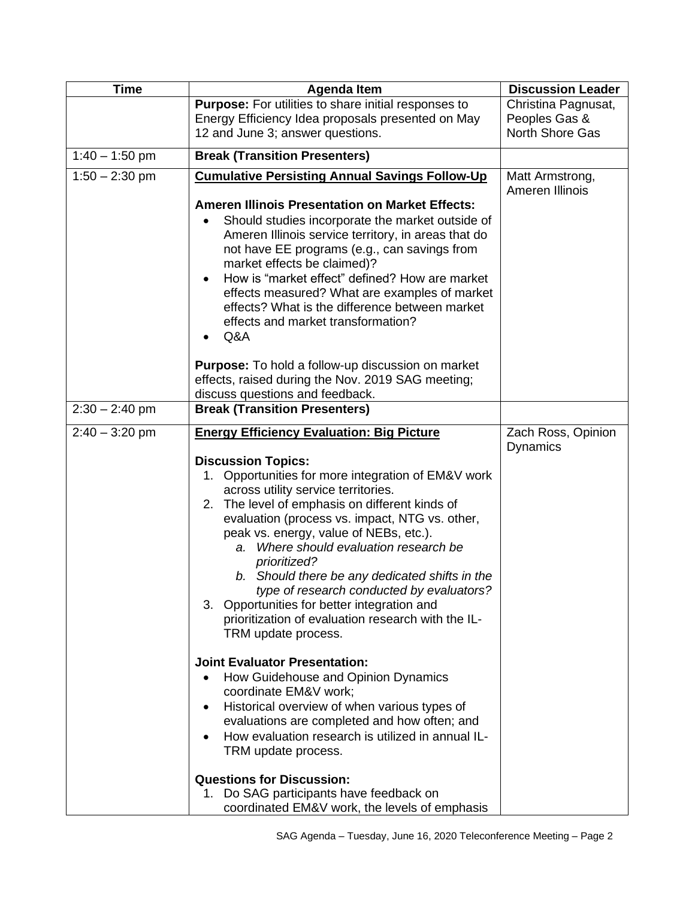| <b>Time</b>      | <b>Agenda Item</b>                                                                                                                                                                                                                                                                                                                                                                                                                                                                                                                                                                                                                                                                                                                                                                                                                                                                                             | <b>Discussion Leader</b>              |
|------------------|----------------------------------------------------------------------------------------------------------------------------------------------------------------------------------------------------------------------------------------------------------------------------------------------------------------------------------------------------------------------------------------------------------------------------------------------------------------------------------------------------------------------------------------------------------------------------------------------------------------------------------------------------------------------------------------------------------------------------------------------------------------------------------------------------------------------------------------------------------------------------------------------------------------|---------------------------------------|
|                  | <b>Purpose:</b> For utilities to share initial responses to<br>Energy Efficiency Idea proposals presented on May                                                                                                                                                                                                                                                                                                                                                                                                                                                                                                                                                                                                                                                                                                                                                                                               | Christina Pagnusat,<br>Peoples Gas &  |
|                  | 12 and June 3; answer questions.                                                                                                                                                                                                                                                                                                                                                                                                                                                                                                                                                                                                                                                                                                                                                                                                                                                                               | North Shore Gas                       |
| $1:40 - 1:50$ pm | <b>Break (Transition Presenters)</b>                                                                                                                                                                                                                                                                                                                                                                                                                                                                                                                                                                                                                                                                                                                                                                                                                                                                           |                                       |
| $1:50 - 2:30$ pm | <b>Cumulative Persisting Annual Savings Follow-Up</b><br><b>Ameren Illinois Presentation on Market Effects:</b><br>Should studies incorporate the market outside of<br>Ameren Illinois service territory, in areas that do<br>not have EE programs (e.g., can savings from<br>market effects be claimed)?<br>How is "market effect" defined? How are market<br>effects measured? What are examples of market<br>effects? What is the difference between market<br>effects and market transformation?<br>Q&A                                                                                                                                                                                                                                                                                                                                                                                                    | Matt Armstrong,<br>Ameren Illinois    |
|                  | <b>Purpose:</b> To hold a follow-up discussion on market<br>effects, raised during the Nov. 2019 SAG meeting;<br>discuss questions and feedback.                                                                                                                                                                                                                                                                                                                                                                                                                                                                                                                                                                                                                                                                                                                                                               |                                       |
| $2:30 - 2:40$ pm | <b>Break (Transition Presenters)</b>                                                                                                                                                                                                                                                                                                                                                                                                                                                                                                                                                                                                                                                                                                                                                                                                                                                                           |                                       |
| $2:40 - 3:20$ pm | <b>Energy Efficiency Evaluation: Big Picture</b><br><b>Discussion Topics:</b><br>1. Opportunities for more integration of EM&V work<br>across utility service territories.<br>2. The level of emphasis on different kinds of<br>evaluation (process vs. impact, NTG vs. other,<br>peak vs. energy, value of NEBs, etc.).<br>a. Where should evaluation research be<br>prioritized?<br>b. Should there be any dedicated shifts in the<br>type of research conducted by evaluators?<br>3. Opportunities for better integration and<br>prioritization of evaluation research with the IL-<br>TRM update process.<br><b>Joint Evaluator Presentation:</b><br>How Guidehouse and Opinion Dynamics<br>coordinate EM&V work;<br>Historical overview of when various types of<br>$\bullet$<br>evaluations are completed and how often; and<br>How evaluation research is utilized in annual IL-<br>TRM update process. | Zach Ross, Opinion<br><b>Dynamics</b> |
|                  | <b>Questions for Discussion:</b><br>1. Do SAG participants have feedback on<br>coordinated EM&V work, the levels of emphasis                                                                                                                                                                                                                                                                                                                                                                                                                                                                                                                                                                                                                                                                                                                                                                                   |                                       |